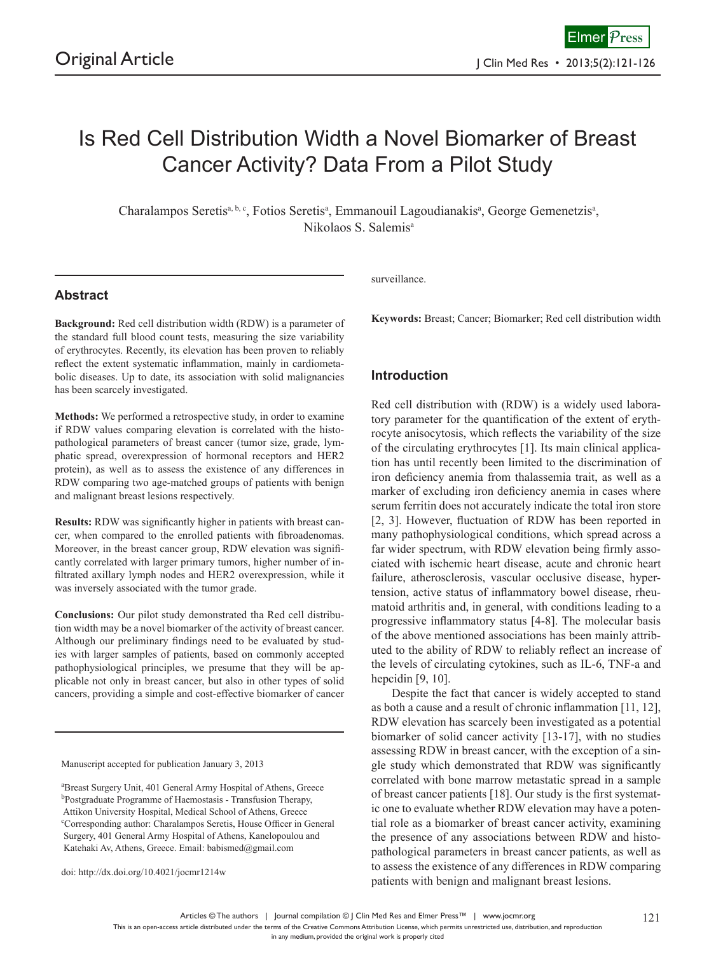# Is Red Cell Distribution Width a Novel Biomarker of Breast Cancer Activity? Data From a Pilot Study

Charalampos Seretis<sup>a, b, c</sup>, Fotios Seretis<sup>a</sup>, Emmanouil Lagoudianakis<sup>a</sup>, George Gemenetzis<sup>a</sup>, Nikolaos S. Salemisa

## **Abstract**

**Background:** Red cell distribution width (RDW) is a parameter of the standard full blood count tests, measuring the size variability of erythrocytes. Recently, its elevation has been proven to reliably reflect the extent systematic inflammation, mainly in cardiometabolic diseases. Up to date, its association with solid malignancies has been scarcely investigated.

**Methods:** We performed a retrospective study, in order to examine if RDW values comparing elevation is correlated with the histopathological parameters of breast cancer (tumor size, grade, lymphatic spread, overexpression of hormonal receptors and HER2 protein), as well as to assess the existence of any differences in RDW comparing two age-matched groups of patients with benign and malignant breast lesions respectively.

**Results:** RDW was significantly higher in patients with breast cancer, when compared to the enrolled patients with fibroadenomas. Moreover, in the breast cancer group, RDW elevation was significantly correlated with larger primary tumors, higher number of infiltrated axillary lymph nodes and HER2 overexpression, while it was inversely associated with the tumor grade.

**Conclusions:** Our pilot study demonstrated tha Red cell distribution width may be a novel biomarker of the activity of breast cancer. Although our preliminary findings need to be evaluated by studies with larger samples of patients, based on commonly accepted pathophysiological principles, we presume that they will be applicable not only in breast cancer, but also in other types of solid cancers, providing a simple and cost-effective biomarker of cancer

Manuscript accepted for publication January 3, 2013

a Breast Surgery Unit, 401 General Army Hospital of Athens, Greece <sup>b</sup>Postgraduate Programme of Haemostasis - Transfusion Therapy, Attikon University Hospital, Medical School of Athens, Greece c Corresponding author: Charalampos Seretis, House Officer in General Surgery, 401 General Army Hospital of Athens, Kanelopoulou and Katehaki Av, Athens, Greece. Email: babismed@gmail.com

doi: http://dx.doi.org/10.4021/jocmr1214w

surveillance.

**Keywords:** Breast; Cancer; Biomarker; Red cell distribution width

## **Introduction**

Red cell distribution with (RDW) is a widely used laboratory parameter for the quantification of the extent of erythrocyte anisocytosis, which reflects the variability of the size of the circulating erythrocytes [1]. Its main clinical application has until recently been limited to the discrimination of iron deficiency anemia from thalassemia trait, as well as a marker of excluding iron deficiency anemia in cases where serum ferritin does not accurately indicate the total iron store [2, 3]. However, fluctuation of RDW has been reported in many pathophysiological conditions, which spread across a far wider spectrum, with RDW elevation being firmly associated with ischemic heart disease, acute and chronic heart failure, atherosclerosis, vascular occlusive disease, hypertension, active status of inflammatory bowel disease, rheumatoid arthritis and, in general, with conditions leading to a progressive inflammatory status [4-8]. The molecular basis of the above mentioned associations has been mainly attributed to the ability of RDW to reliably reflect an increase of the levels of circulating cytokines, such as IL-6, TNF-a and hepcidin [9, 10].

Despite the fact that cancer is widely accepted to stand as both a cause and a result of chronic inflammation [11, 12], RDW elevation has scarcely been investigated as a potential biomarker of solid cancer activity [13-17], with no studies assessing RDW in breast cancer, with the exception of a single study which demonstrated that RDW was significantly correlated with bone marrow metastatic spread in a sample of breast cancer patients [18]. Our study is the first systematic one to evaluate whether RDW elevation may have a potential role as a biomarker of breast cancer activity, examining the presence of any associations between RDW and histopathological parameters in breast cancer patients, as well as to assess the existence of any differences in RDW comparing patients with benign and malignant breast lesions.

Articles © The authors | Journal compilation © J Clin Med Res and Elmer Press™ | www.jocmr.org

This is an open-access article distributed under the terms of the Creative Commons Attribution License, which permits unrestricted use, distribution, and reproduction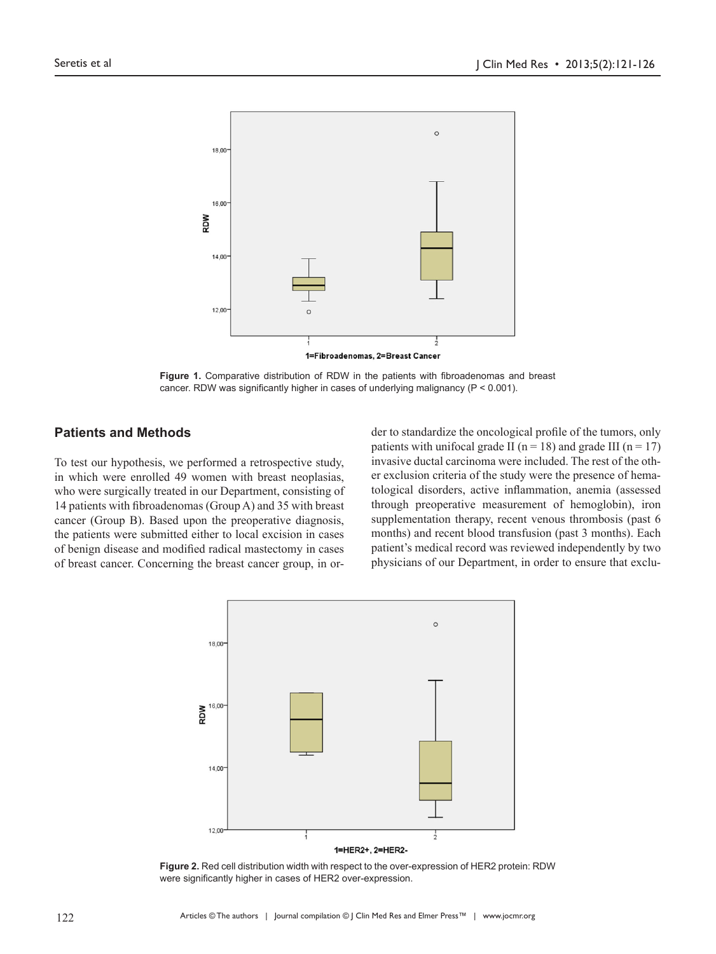

**Figure 1.** Comparative distribution of RDW in the patients with fibroadenomas and breast cancer. RDW was significantly higher in cases of underlying malignancy (P < 0.001).

### **Patients and Methods**

To test our hypothesis, we performed a retrospective study, in which were enrolled 49 women with breast neoplasias, who were surgically treated in our Department, consisting of 14 patients with fibroadenomas (Group A) and 35 with breast cancer (Group B). Based upon the preoperative diagnosis, the patients were submitted either to local excision in cases of benign disease and modified radical mastectomy in cases of breast cancer. Concerning the breast cancer group, in order to standardize the oncological profile of the tumors, only patients with unifocal grade II ( $n = 18$ ) and grade III ( $n = 17$ ) invasive ductal carcinoma were included. The rest of the other exclusion criteria of the study were the presence of hematological disorders, active inflammation, anemia (assessed through preoperative measurement of hemoglobin), iron supplementation therapy, recent venous thrombosis (past 6 months) and recent blood transfusion (past 3 months). Each patient's medical record was reviewed independently by two physicians of our Department, in order to ensure that exclu-



**Figure 2.** Red cell distribution width with respect to the over-expression of HER2 protein: RDW were significantly higher in cases of HER2 over-expression.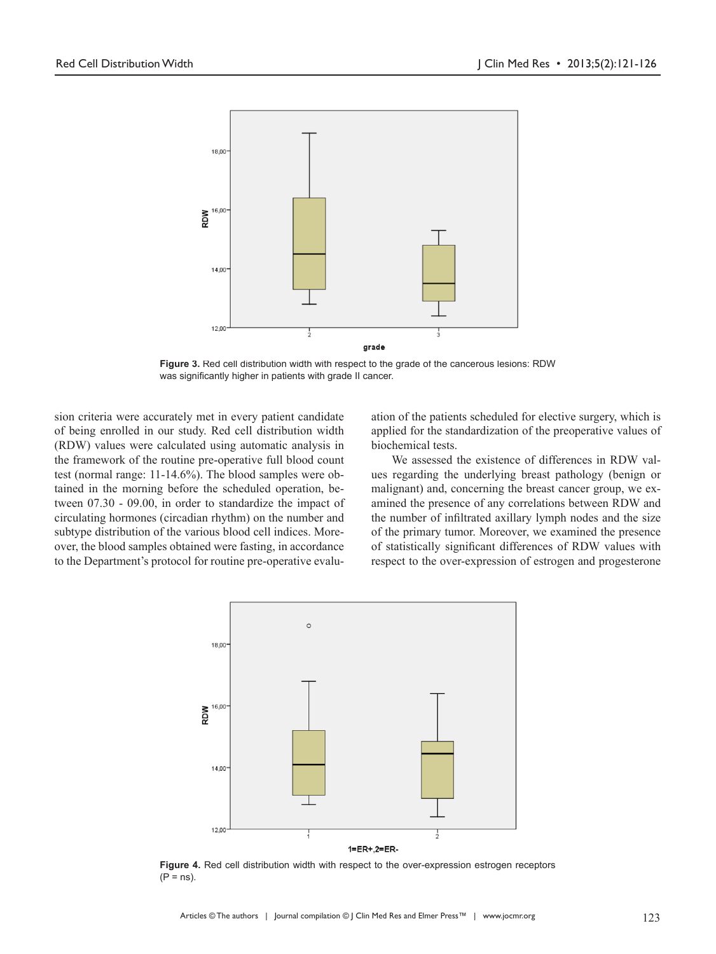

**Figure 3.** Red cell distribution width with respect to the grade of the cancerous lesions: RDW was significantly higher in patients with grade II cancer.

sion criteria were accurately met in every patient candidate of being enrolled in our study. Red cell distribution width (RDW) values were calculated using automatic analysis in the framework of the routine pre-operative full blood count test (normal range: 11-14.6%). The blood samples were obtained in the morning before the scheduled operation, between 07.30 - 09.00, in order to standardize the impact of circulating hormones (circadian rhythm) on the number and subtype distribution of the various blood cell indices. Moreover, the blood samples obtained were fasting, in accordance to the Department's protocol for routine pre-operative evaluation of the patients scheduled for elective surgery, which is applied for the standardization of the preoperative values of biochemical tests.

We assessed the existence of differences in RDW values regarding the underlying breast pathology (benign or malignant) and, concerning the breast cancer group, we examined the presence of any correlations between RDW and the number of infiltrated axillary lymph nodes and the size of the primary tumor. Moreover, we examined the presence of statistically significant differences of RDW values with respect to the over-expression of estrogen and progesterone



**Figure 4.** Red cell distribution width with respect to the over-expression estrogen receptors  $(P = ns)$ .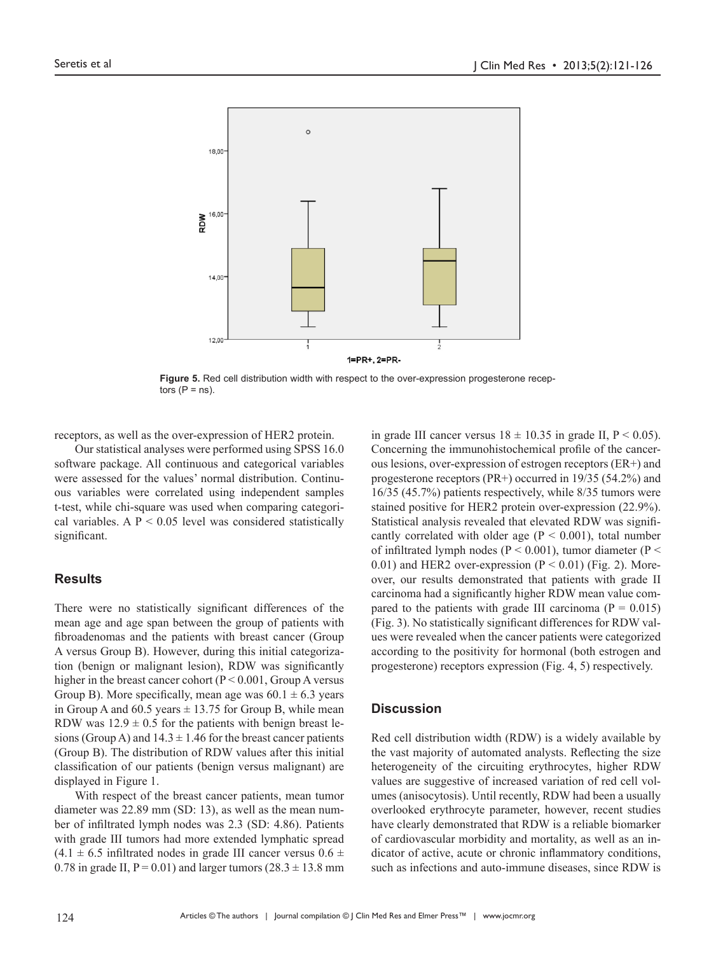

**Figure 5.** Red cell distribution width with respect to the over-expression progesterone receptors  $(P = ns)$ .

receptors, as well as the over-expression of HER2 protein.

Our statistical analyses were performed using SPSS 16.0 software package. All continuous and categorical variables were assessed for the values' normal distribution. Continuous variables were correlated using independent samples t-test, while chi-square was used when comparing categorical variables. A  $P < 0.05$  level was considered statistically significant.

#### **Results**

There were no statistically significant differences of the mean age and age span between the group of patients with fibroadenomas and the patients with breast cancer (Group A versus Group B). However, during this initial categorization (benign or malignant lesion), RDW was significantly higher in the breast cancer cohort ( $P \le 0.001$ , Group A versus Group B). More specifically, mean age was  $60.1 \pm 6.3$  years in Group A and 60.5 years  $\pm$  13.75 for Group B, while mean RDW was  $12.9 \pm 0.5$  for the patients with benign breast lesions (Group A) and  $14.3 \pm 1.46$  for the breast cancer patients (Group B). The distribution of RDW values after this initial classification of our patients (benign versus malignant) are displayed in Figure 1.

With respect of the breast cancer patients, mean tumor diameter was 22.89 mm (SD: 13), as well as the mean number of infiltrated lymph nodes was 2.3 (SD: 4.86). Patients with grade III tumors had more extended lymphatic spread  $(4.1 \pm 6.5 \text{ infinitely no})$  in grade III cancer versus  $0.6 \pm 0.6 \text{ if no}$ 0.78 in grade II,  $P = 0.01$ ) and larger tumors (28.3  $\pm$  13.8 mm

in grade III cancer versus  $18 \pm 10.35$  in grade II,  $P < 0.05$ ). Concerning the immunohistochemical profile of the cancerous lesions, over-expression of estrogen receptors (ER+) and progesterone receptors (PR+) occurred in 19/35 (54.2%) and 16/35 (45.7%) patients respectively, while 8/35 tumors were stained positive for HER2 protein over-expression (22.9%). Statistical analysis revealed that elevated RDW was significantly correlated with older age  $(P < 0.001)$ , total number of infiltrated lymph nodes ( $P < 0.001$ ), tumor diameter ( $P <$ 0.01) and HER2 over-expression ( $P < 0.01$ ) (Fig. 2). Moreover, our results demonstrated that patients with grade II carcinoma had a significantly higher RDW mean value compared to the patients with grade III carcinoma ( $P = 0.015$ ) (Fig. 3). No statistically significant differences for RDW values were revealed when the cancer patients were categorized according to the positivity for hormonal (both estrogen and progesterone) receptors expression (Fig. 4, 5) respectively.

#### **Discussion**

Red cell distribution width (RDW) is a widely available by the vast majority of automated analysts. Reflecting the size heterogeneity of the circuiting erythrocytes, higher RDW values are suggestive of increased variation of red cell volumes (anisocytosis). Until recently, RDW had been a usually overlooked erythrocyte parameter, however, recent studies have clearly demonstrated that RDW is a reliable biomarker of cardiovascular morbidity and mortality, as well as an indicator of active, acute or chronic inflammatory conditions, such as infections and auto-immune diseases, since RDW is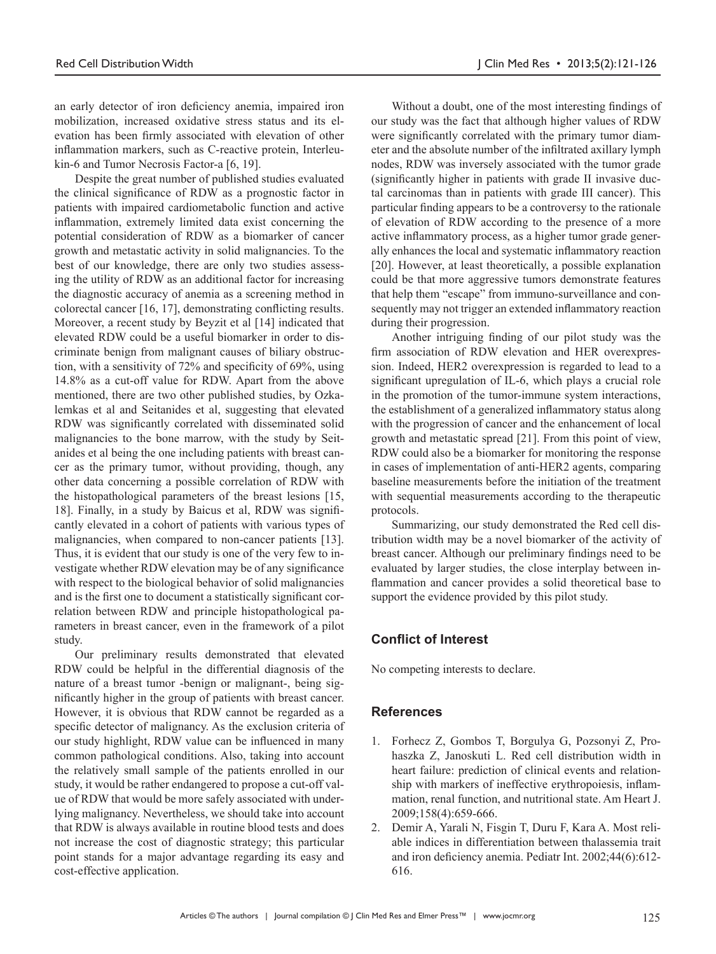an early detector of iron deficiency anemia, impaired iron mobilization, increased oxidative stress status and its elevation has been firmly associated with elevation of other inflammation markers, such as C-reactive protein, Interleukin-6 and Tumor Necrosis Factor-a [6, 19].

Despite the great number of published studies evaluated the clinical significance of RDW as a prognostic factor in patients with impaired cardiometabolic function and active inflammation, extremely limited data exist concerning the potential consideration of RDW as a biomarker of cancer growth and metastatic activity in solid malignancies. To the best of our knowledge, there are only two studies assessing the utility of RDW as an additional factor for increasing the diagnostic accuracy of anemia as a screening method in colorectal cancer [16, 17], demonstrating conflicting results. Moreover, a recent study by Beyzit et al [14] indicated that elevated RDW could be a useful biomarker in order to discriminate benign from malignant causes of biliary obstruction, with a sensitivity of 72% and specificity of 69%, using 14.8% as a cut-off value for RDW. Apart from the above mentioned, there are two other published studies, by Ozkalemkas et al and Seitanides et al, suggesting that elevated RDW was significantly correlated with disseminated solid malignancies to the bone marrow, with the study by Seitanides et al being the one including patients with breast cancer as the primary tumor, without providing, though, any other data concerning a possible correlation of RDW with the histopathological parameters of the breast lesions [15, 18]. Finally, in a study by Baicus et al, RDW was significantly elevated in a cohort of patients with various types of malignancies, when compared to non-cancer patients [13]. Thus, it is evident that our study is one of the very few to investigate whether RDW elevation may be of any significance with respect to the biological behavior of solid malignancies and is the first one to document a statistically significant correlation between RDW and principle histopathological parameters in breast cancer, even in the framework of a pilot study.

Our preliminary results demonstrated that elevated RDW could be helpful in the differential diagnosis of the nature of a breast tumor -benign or malignant-, being significantly higher in the group of patients with breast cancer. However, it is obvious that RDW cannot be regarded as a specific detector of malignancy. As the exclusion criteria of our study highlight, RDW value can be influenced in many common pathological conditions. Also, taking into account the relatively small sample of the patients enrolled in our study, it would be rather endangered to propose a cut-off value of RDW that would be more safely associated with underlying malignancy. Nevertheless, we should take into account that RDW is always available in routine blood tests and does not increase the cost of diagnostic strategy; this particular point stands for a major advantage regarding its easy and cost-effective application.

Without a doubt, one of the most interesting findings of our study was the fact that although higher values of RDW were significantly correlated with the primary tumor diameter and the absolute number of the infiltrated axillary lymph nodes, RDW was inversely associated with the tumor grade (significantly higher in patients with grade II invasive ductal carcinomas than in patients with grade III cancer). This particular finding appears to be a controversy to the rationale of elevation of RDW according to the presence of a more active inflammatory process, as a higher tumor grade generally enhances the local and systematic inflammatory reaction [20]. However, at least theoretically, a possible explanation could be that more aggressive tumors demonstrate features that help them "escape" from immuno-surveillance and consequently may not trigger an extended inflammatory reaction during their progression.

Another intriguing finding of our pilot study was the firm association of RDW elevation and HER overexpression. Indeed, HER2 overexpression is regarded to lead to a significant upregulation of IL-6, which plays a crucial role in the promotion of the tumor-immune system interactions, the establishment of a generalized inflammatory status along with the progression of cancer and the enhancement of local growth and metastatic spread [21]. From this point of view, RDW could also be a biomarker for monitoring the response in cases of implementation of anti-HER2 agents, comparing baseline measurements before the initiation of the treatment with sequential measurements according to the therapeutic protocols.

Summarizing, our study demonstrated the Red cell distribution width may be a novel biomarker of the activity of breast cancer. Although our preliminary findings need to be evaluated by larger studies, the close interplay between inflammation and cancer provides a solid theoretical base to support the evidence provided by this pilot study.

## **Conflict of Interest**

No competing interests to declare.

#### **References**

- 1. Forhecz Z, Gombos T, Borgulya G, Pozsonyi Z, Prohaszka Z, Janoskuti L. Red cell distribution width in heart failure: prediction of clinical events and relationship with markers of ineffective erythropoiesis, inflammation, renal function, and nutritional state. Am Heart J. 2009;158(4):659-666.
- 2. Demir A, Yarali N, Fisgin T, Duru F, Kara A. Most reliable indices in differentiation between thalassemia trait and iron deficiency anemia. Pediatr Int. 2002;44(6):612- 616.